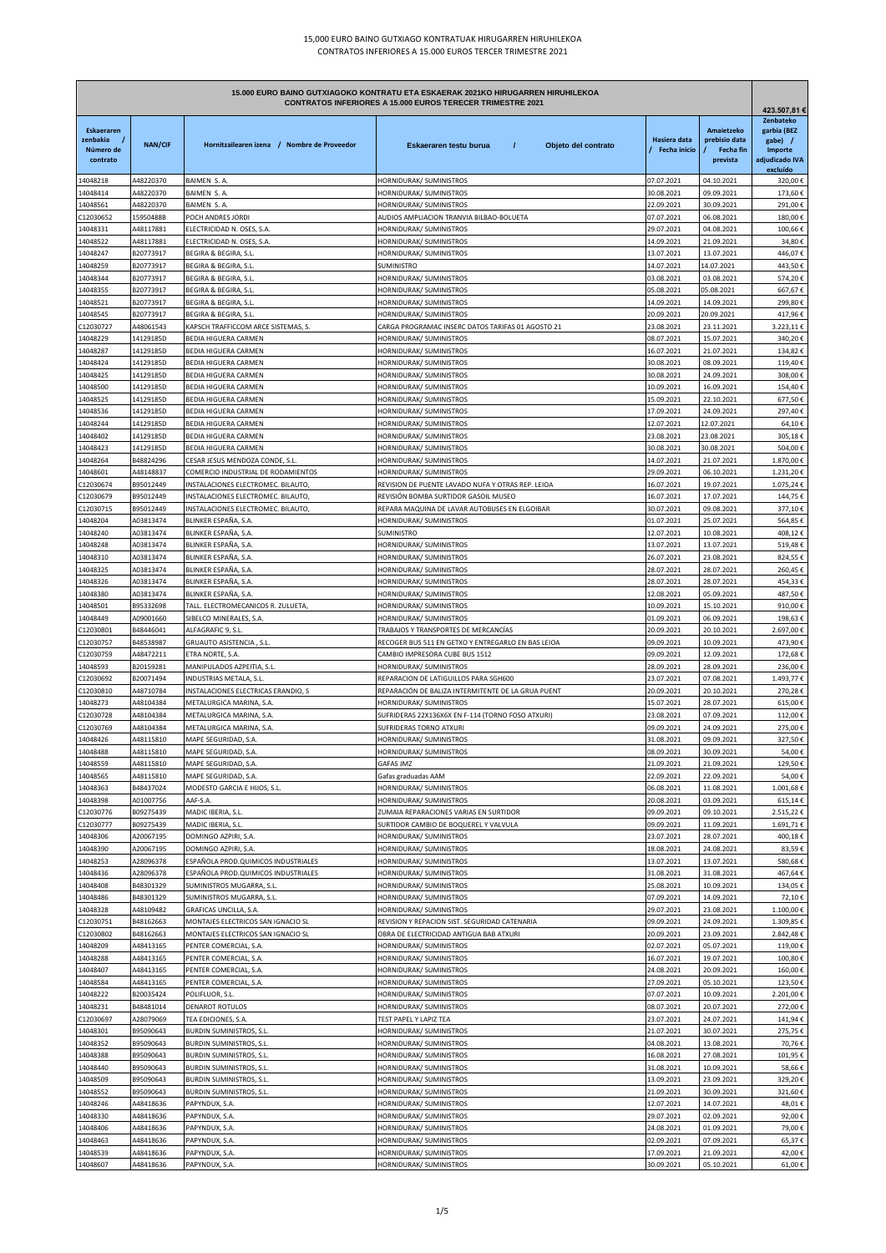| 15.000 EURO BAINO GUTXIAGOKO KONTRATU ETA ESKAERAK 2021KO HIRUGARREN HIRUHILEKOA<br><b>CONTRATOS INFERIORES A 15.000 EUROS TERECER TRIMESTRE 2021</b> |                        |                                                                            |                                                                                           |                                     |                                                             | 423.507,81 €                                                                 |
|-------------------------------------------------------------------------------------------------------------------------------------------------------|------------------------|----------------------------------------------------------------------------|-------------------------------------------------------------------------------------------|-------------------------------------|-------------------------------------------------------------|------------------------------------------------------------------------------|
| <b>Eskaeraren</b><br>zenbakia<br>Número de<br>contrato                                                                                                | <b>NAN/CIF</b>         | Hornitzailearen izena / Nombre de Proveedor                                | Eskaeraren testu burua<br>$\prime$<br>Objeto del contrato                                 | Hasiera data<br><b>Fecha</b> inicio | <b>Amaietzeko</b><br>prebisio data<br>Fecha fin<br>prevista | Zenbateko<br>garbia (BEZ<br>gabe) /<br>Importe<br>adjudicado IVA<br>excluído |
| 14048218                                                                                                                                              | A48220370              | BAIMEN S. A.                                                               | HORNIDURAK/ SUMINISTROS                                                                   | 07.07.2021                          | 04.10.2021                                                  | 320,00€                                                                      |
| 14048414                                                                                                                                              | A48220370              | BAIMEN S. A.                                                               | HORNIDURAK/ SUMINISTROS                                                                   | 30.08.2021                          | 09.09.2021                                                  | 173,60€                                                                      |
| 14048561<br>C12030652                                                                                                                                 | A48220370<br>15950488B | BAIMEN S. A.<br>POCH ANDRES JORDI                                          | HORNIDURAK/ SUMINISTROS<br>AUDIOS AMPLIACION TRANVIA BILBAO-BOLUETA                       | 22.09.2021<br>07.07.2021            | 30.09.2021<br>06.08.2021                                    | 291,00€<br>180,00€                                                           |
| 14048331                                                                                                                                              | A48117881              | ELECTRICIDAD N. OSES, S.A.                                                 | HORNIDURAK/ SUMINISTROS                                                                   | 29.07.2021                          | 04.08.2021                                                  | 100,66€                                                                      |
| 14048522                                                                                                                                              | A48117881              | ELECTRICIDAD N. OSES, S.A                                                  | HORNIDURAK/ SUMINISTROS                                                                   | 14.09.2021                          | 21.09.2021                                                  | 34,80€                                                                       |
| 14048247                                                                                                                                              | B20773917              | BEGIRA & BEGIRA, S.L.                                                      | HORNIDURAK/ SUMINISTROS                                                                   | 13.07.2021                          | 13.07.2021                                                  | 446,07€                                                                      |
| 14048259<br>14048344                                                                                                                                  | B20773917              | BEGIRA & BEGIRA, S.L<br>BEGIRA & BEGIRA, S.L                               | <b>SUMINISTRO</b><br>HORNIDURAK/ SUMINISTROS                                              | 14.07.2021                          | 14.07.2021<br>03.08.2021                                    | 443,50€<br>574,20€                                                           |
| 14048355                                                                                                                                              | B20773917<br>B20773917 | BEGIRA & BEGIRA, S.L                                                       | HORNIDURAK/ SUMINISTROS                                                                   | 03.08.2021<br>05.08.2021            | 05.08.2021                                                  | 667,67€                                                                      |
| 4048521                                                                                                                                               | B20773917              | BEGIRA & BEGIRA, S.L.                                                      | HORNIDURAK/ SUMINISTROS                                                                   | 14.09.2021                          | 14.09.2021                                                  | 299,80€                                                                      |
| 4048545                                                                                                                                               | B20773917              | BEGIRA & BEGIRA, S.L                                                       | HORNIDURAK/ SUMINISTROS                                                                   | 20.09.2021                          | 20.09.2021                                                  | 417,96€                                                                      |
| C12030727                                                                                                                                             | A48061543              | KAPSCH TRAFFICCOM ARCE SISTEMAS, S.                                        | CARGA PROGRAMAC INSERC DATOS TARIFAS 01 AGOSTO 21                                         | 23.08.2021                          | 23.11.2021                                                  | 3.223,11€                                                                    |
| 14048229<br>4048287                                                                                                                                   | 14129185D<br>14129185D | BEDIA HIGUERA CARMEN<br>BEDIA HIGUERA CARMEN                               | HORNIDURAK/ SUMINISTROS<br>HORNIDURAK/ SUMINISTROS                                        | 08.07.2021<br>16.07.2021            | 15.07.2021<br>21.07.2021                                    | 340,20€<br>134,82€                                                           |
| 14048424                                                                                                                                              | 14129185D              | BEDIA HIGUERA CARMEN                                                       | HORNIDURAK/ SUMINISTROS                                                                   | 30.08.2021                          | 08.09.2021                                                  | 119,40€                                                                      |
| 14048425                                                                                                                                              | 14129185D              | BEDIA HIGUERA CARMEN                                                       | HORNIDURAK/ SUMINISTROS                                                                   | 30.08.2021                          | 24.09.2021                                                  | 308,00€                                                                      |
| 14048500                                                                                                                                              | 14129185D              | BEDIA HIGUERA CARMEN                                                       | HORNIDURAK/ SUMINISTROS                                                                   | 10.09.2021                          | 16.09.2021                                                  | 154,40€                                                                      |
| 14048525                                                                                                                                              | 14129185D              | <b>BEDIA HIGUERA CARMEN</b>                                                | HORNIDURAK/ SUMINISTROS                                                                   | 15.09.2021                          | 22.10.2021                                                  | 677,50€                                                                      |
| 14048536<br>14048244                                                                                                                                  | 14129185D<br>14129185D | <b>BEDIA HIGUERA CARMEN</b><br>BEDIA HIGUERA CARMEN                        | HORNIDURAK/ SUMINISTROS<br>HORNIDURAK/ SUMINISTROS                                        | 17.09.2021<br>12.07.2021            | 24.09.2021<br>12.07.2021                                    | 297,40€<br>64,10€                                                            |
| 14048402                                                                                                                                              | 14129185D              | BEDIA HIGUERA CARMEN                                                       | HORNIDURAK/ SUMINISTROS                                                                   | 23.08.2021                          | 23.08.2021                                                  | 305,18€                                                                      |
| 14048423                                                                                                                                              | 14129185D              | BEDIA HIGUERA CARMEN                                                       | HORNIDURAK/ SUMINISTROS                                                                   | 30.08.2021                          | 30.08.2021                                                  | 504,00€                                                                      |
| 14048264                                                                                                                                              | B48824296              | CESAR JESUS MENDOZA CONDE, S.L                                             | HORNIDURAK/ SUMINISTROS                                                                   | 14.07.2021                          | 21.07.2021                                                  | 1.870,00€                                                                    |
| 14048601                                                                                                                                              | A48148837              | COMERCIO INDUSTRIAL DE RODAMIENTOS                                         | HORNIDURAK/ SUMINISTROS                                                                   | 29.09.2021                          | 06.10.2021                                                  | 1.231,20€                                                                    |
| C12030674                                                                                                                                             | B95012449<br>B95012449 | INSTALACIONES ELECTROMEC. BILAUTO<br>INSTALACIONES ELECTROMEC. BILAUTO     | REVISION DE PUENTE LAVADO NUFA Y OTRAS REP. LEIOA<br>REVISIÓN BOMBA SURTIDOR GASOIL MUSEO | 16.07.2021<br>16.07.2021            | 19.07.2021<br>17.07.2021                                    | 1.075,24€<br>144,75€                                                         |
| C12030679<br>C12030715                                                                                                                                | B95012449              | INSTALACIONES ELECTROMEC. BILAUTO                                          | REPARA MAQUINA DE LAVAR AUTOBUSES EN ELGOIBAR                                             | 30.07.2021                          | 09.08.2021                                                  | 377,10€                                                                      |
| 14048204                                                                                                                                              | A03813474              | BLINKER ESPAÑA, S.A                                                        | HORNIDURAK/ SUMINISTROS                                                                   | 01.07.2021                          | 25.07.2021                                                  | 564,85€                                                                      |
| 14048240                                                                                                                                              | A03813474              | BLINKER ESPAÑA, S.A                                                        | <b>SUMINISTRO</b>                                                                         | 12.07.2021                          | 10.08.2021                                                  | 408,12€                                                                      |
| 14048248                                                                                                                                              | A03813474              | BLINKER ESPAÑA, S.A                                                        | HORNIDURAK/ SUMINISTROS                                                                   | 13.07.2021                          | 13.07.2021                                                  | 519,48€                                                                      |
| 14048310                                                                                                                                              | A03813474<br>A03813474 | BLINKER ESPAÑA, S.A.                                                       | HORNIDURAK/ SUMINISTROS                                                                   | 26.07.2021                          | 23.08.2021                                                  | 824,55€<br>260,45€                                                           |
| 14048325<br>14048326                                                                                                                                  | A03813474              | BLINKER ESPAÑA, S.A<br>BLINKER ESPAÑA, S.A                                 | HORNIDURAK/ SUMINISTROS<br>HORNIDURAK/ SUMINISTROS                                        | 28.07.2021<br>28.07.2021            | 28.07.2021<br>28.07.2021                                    | 454,33€                                                                      |
| 14048380                                                                                                                                              | A03813474              | BLINKER ESPAÑA, S.A                                                        | HORNIDURAK/ SUMINISTROS                                                                   | 12.08.2021                          | 05.09.2021                                                  | 487,50€                                                                      |
| 4048501                                                                                                                                               | B95332698              | TALL. ELECTROMECANICOS R. ZULUETA,                                         | HORNIDURAK/ SUMINISTROS                                                                   | 10.09.2021                          | 15.10.2021                                                  | 910,00€                                                                      |
| 4048449                                                                                                                                               | A09001660              | SIBELCO MINERALES, S.A.                                                    | HORNIDURAK/ SUMINISTROS                                                                   | 01.09.2021                          | 06.09.2021                                                  | 198,63€                                                                      |
| C12030801                                                                                                                                             | B48446041<br>B48538987 | ALFAGRAFIC 9, S.L.                                                         | TRABAJOS Y TRANSPORTES DE MERCANCÍAS                                                      | 20.09.2021                          | 20.10.2021                                                  | 2.697,00€                                                                    |
| C12030757<br>C12030759                                                                                                                                | A48472211              | GRUAUTO ASISTENCIA, S.L<br>ETRA NORTE, S.A.                                | RECOGER BUS 511 EN GETXO Y ENTREGARLO EN BAS LEIOA<br>CAMBIO IMPRESORA CUBE BUS 1512      | 09.09.2021<br>09.09.2021            | 10.09.2021<br>12.09.2021                                    | 473,90€<br>172,68€                                                           |
| 14048593                                                                                                                                              | B20159281              | MANIPULADOS AZPEITIA, S.L.                                                 | HORNIDURAK/ SUMINISTROS                                                                   | 28.09.2021                          | 28.09.2021                                                  | 236,00€                                                                      |
| C12030692                                                                                                                                             | B20071494              | INDUSTRIAS METALA, S.L                                                     | REPARACION DE LATIGUILLOS PARA SGH600                                                     | 23.07.2021                          | 07.08.2021                                                  | 1.493,77€                                                                    |
| C12030810                                                                                                                                             | A48710784              | INSTALACIONES ELECTRICAS ERANDIO, S                                        | REPARACIÓN DE BALIZA INTERMITENTE DE LA GRUA PUENT                                        | 20.09.2021                          | 20.10.2021                                                  | 270,28€                                                                      |
| 14048273                                                                                                                                              | A48104384              | METALURGICA MARINA, S.A.<br>METALURGICA MARINA, S.A.                       | HORNIDURAK/ SUMINISTROS<br>SUFRIDERAS 22X136X6X EN F-114 (TORNO FOSO ATXURI)              | 15.07.2021                          | 28.07.2021                                                  | 615,00€                                                                      |
| C12030728<br>C12030769                                                                                                                                | A48104384<br>A48104384 | METALURGICA MARINA, S.A.                                                   | SUFRIDERAS TORNO ATXURI                                                                   | 23.08.2021<br>09.09.2021            | 07.09.2021<br>24.09.2021                                    | 112,00€<br>275,00€                                                           |
| 14048426                                                                                                                                              | A48115810              | MAPE SEGURIDAD, S.A.                                                       | HORNIDURAK/ SUMINISTROS                                                                   | 31.08.2021                          | 09.09.2021                                                  | 327,50€                                                                      |
| 14048488                                                                                                                                              | A48115810              | MAPE SEGURIDAD, S.A.                                                       | HORNIDURAK/ SUMINISTROS                                                                   | 08.09.2021                          | 30.09.2021                                                  | 54,00€                                                                       |
| 14048559                                                                                                                                              | A48115810              | MAPE SEGURIDAD, S.A.                                                       | <b>GAFAS JMZ</b>                                                                          | 21.09.2021                          | 21.09.2021                                                  | 129,50€                                                                      |
| 14048565<br>14048363                                                                                                                                  | A48115810<br>B48437024 | MAPE SEGURIDAD, S.A.<br>MODESTO GARCIA E HIJOS, S.L.                       | Gafas graduadas AAM<br>HORNIDURAK/ SUMINISTROS                                            | 22.09.2021<br>06.08.2021            | 22.09.2021<br>11.08.2021                                    | 54,00€<br>1.001,68€                                                          |
| 14048398                                                                                                                                              | A01007756              | AAF-S.A.                                                                   | HORNIDURAK/ SUMINISTROS                                                                   | 20.08.2021                          | 03.09.2021                                                  | 615,14€                                                                      |
| C12030776                                                                                                                                             | B09275439              | MADIC IBERIA, S.L                                                          | ZUMAIA REPARACIONES VARIAS EN SURTIDOR                                                    | 09.09.2021                          | 09.10.2021                                                  | 2.515,22€                                                                    |
| C12030777                                                                                                                                             | B09275439              | MADIC IBERIA, S.L.                                                         | SURTIDOR CAMBIO DE BOQUEREL Y VALVULA                                                     | 09.09.2021                          | 11.09.2021                                                  | 1.691,71€                                                                    |
| 14048306                                                                                                                                              | A20067195              | DOMINGO AZPIRI, S.A.                                                       | HORNIDURAK/ SUMINISTROS                                                                   | 23.07.2021                          | 28.07.2021                                                  | 400,18€                                                                      |
| 14048390                                                                                                                                              | A20067195              | DOMINGO AZPIRI, S.A.                                                       | HORNIDURAK/ SUMINISTROS<br>HORNIDURAK/ SUMINISTROS                                        | 18.08.2021                          | 24.08.2021                                                  | 83,59€<br>580,68€                                                            |
| 14048253<br>14048436                                                                                                                                  | A28096378<br>A28096378 | ESPAÑOLA PROD.QUIMICOS INDUSTRIALES<br>ESPAÑOLA PROD.QUIMICOS INDUSTRIALES | HORNIDURAK/ SUMINISTROS                                                                   | 13.07.2021<br>31.08.2021            | 13.07.2021<br>31.08.2021                                    | 467,64€                                                                      |
| 14048408                                                                                                                                              | B48301329              | SUMINISTROS MUGARRA, S.L.                                                  | HORNIDURAK/ SUMINISTROS                                                                   | 25.08.2021                          | 10.09.2021                                                  | 134,05€                                                                      |
| 14048486                                                                                                                                              | B48301329              | SUMINISTROS MUGARRA, S.L.                                                  | HORNIDURAK/ SUMINISTROS                                                                   | 07.09.2021                          | 14.09.2021                                                  | 72,10€                                                                       |
| 14048328                                                                                                                                              | A48109482              | GRAFICAS UNCILLA, S.A.                                                     | HORNIDURAK/ SUMINISTROS                                                                   | 29.07.2021                          | 23.08.2021                                                  | 1.100,00€                                                                    |
| C12030751<br>C12030802                                                                                                                                | B48162663<br>B48162663 | MONTAJES ELECTRICOS SAN IGNACIO SL<br>MONTAJES ELECTRICOS SAN IGNACIO SL   | REVISION Y REPACION SIST. SEGURIDAD CATENARIA<br>OBRA DE ELECTRICIDAD ANTIGUA BAB ATXURI  | 09.09.2021<br>20.09.2021            | 24.09.2021<br>23.09.2021                                    | 1.309,85 €<br>2.842,48€                                                      |
| 14048209                                                                                                                                              | A48413165              | PENTER COMERCIAL, S.A.                                                     | HORNIDURAK/ SUMINISTROS                                                                   | 02.07.2021                          | 05.07.2021                                                  | 119,00€                                                                      |
| 14048288                                                                                                                                              | A48413165              | PENTER COMERCIAL, S.A.                                                     | HORNIDURAK/ SUMINISTROS                                                                   | 16.07.2021                          | 19.07.2021                                                  | 100,80€                                                                      |
| 14048407                                                                                                                                              | A48413165              | PENTER COMERCIAL, S.A.                                                     | HORNIDURAK/ SUMINISTROS                                                                   | 24.08.2021                          | 20.09.2021                                                  | 160,00€                                                                      |
| 14048584                                                                                                                                              | A48413165              | PENTER COMERCIAL, S.A.                                                     | HORNIDURAK/ SUMINISTROS                                                                   | 27.09.2021                          | 05.10.2021                                                  | 123,50€                                                                      |
| 14048222<br>14048231                                                                                                                                  | B20035424<br>B48481014 | POLIFLUOR, S.L.<br>DENAROT ROTULOS                                         | HORNIDURAK/ SUMINISTROS<br>HORNIDURAK/ SUMINISTROS                                        | 07.07.2021<br>08.07.2021            | 10.09.2021<br>20.07.2021                                    | 2.201,00€<br>272,00€                                                         |
| C12030697                                                                                                                                             | A28079069              | TEA EDICIONES, S.A.                                                        | TEST PAPEL Y LAPIZ TEA                                                                    | 23.07.2021                          | 24.07.2021                                                  | 141,94€                                                                      |
| 14048301                                                                                                                                              | B95090643              | <b>BURDIN SUMINISTROS, S.L.</b>                                            | HORNIDURAK/ SUMINISTROS                                                                   | 21.07.2021                          | 30.07.2021                                                  | 275,75€                                                                      |
| 14048352                                                                                                                                              | B95090643              | BURDIN SUMINISTROS, S.L.                                                   | HORNIDURAK/ SUMINISTROS                                                                   | 04.08.2021                          | 13.08.2021                                                  | 70,76€                                                                       |
| 14048388                                                                                                                                              | B95090643              | BURDIN SUMINISTROS, S.L.                                                   | HORNIDURAK/ SUMINISTROS                                                                   | 16.08.2021                          | 27.08.2021                                                  | 101,95€                                                                      |
| 14048440<br>14048509                                                                                                                                  | B95090643<br>B95090643 | BURDIN SUMINISTROS, S.L.<br>BURDIN SUMINISTROS, S.L.                       | HORNIDURAK/ SUMINISTROS<br>HORNIDURAK/ SUMINISTROS                                        | 31.08.2021<br>13.09.2021            | 10.09.2021<br>23.09.2021                                    | 58,66€<br>329,20€                                                            |
| 14048552                                                                                                                                              | B95090643              | BURDIN SUMINISTROS, S.L.                                                   | HORNIDURAK/ SUMINISTROS                                                                   | 21.09.2021                          | 30.09.2021                                                  | 321,60€                                                                      |
| 14048246                                                                                                                                              | A48418636              | PAPYNDUX, S.A.                                                             | HORNIDURAK/ SUMINISTROS                                                                   | 12.07.2021                          | 14.07.2021                                                  | 48,01€                                                                       |
| 14048330                                                                                                                                              | A48418636              | PAPYNDUX, S.A.                                                             | HORNIDURAK/ SUMINISTROS                                                                   | 29.07.2021                          | 02.09.2021                                                  | 92,00€                                                                       |
| 14048406                                                                                                                                              | A48418636              | PAPYNDUX, S.A.                                                             | HORNIDURAK/ SUMINISTROS                                                                   | 24.08.2021                          | 01.09.2021                                                  | 79,00€                                                                       |
| 14048463<br>14048539                                                                                                                                  | A48418636<br>A48418636 | PAPYNDUX, S.A.<br>PAPYNDUX, S.A.                                           | HORNIDURAK/ SUMINISTROS<br>HORNIDURAK/ SUMINISTROS                                        | 02.09.2021<br>17.09.2021            | 07.09.2021<br>21.09.2021                                    | 65,37€<br>42,00€                                                             |
| 14048607                                                                                                                                              | A48418636              | PAPYNDUX, S.A.                                                             | HORNIDURAK/ SUMINISTROS                                                                   | 30.09.2021                          | 05.10.2021                                                  | 61,00€                                                                       |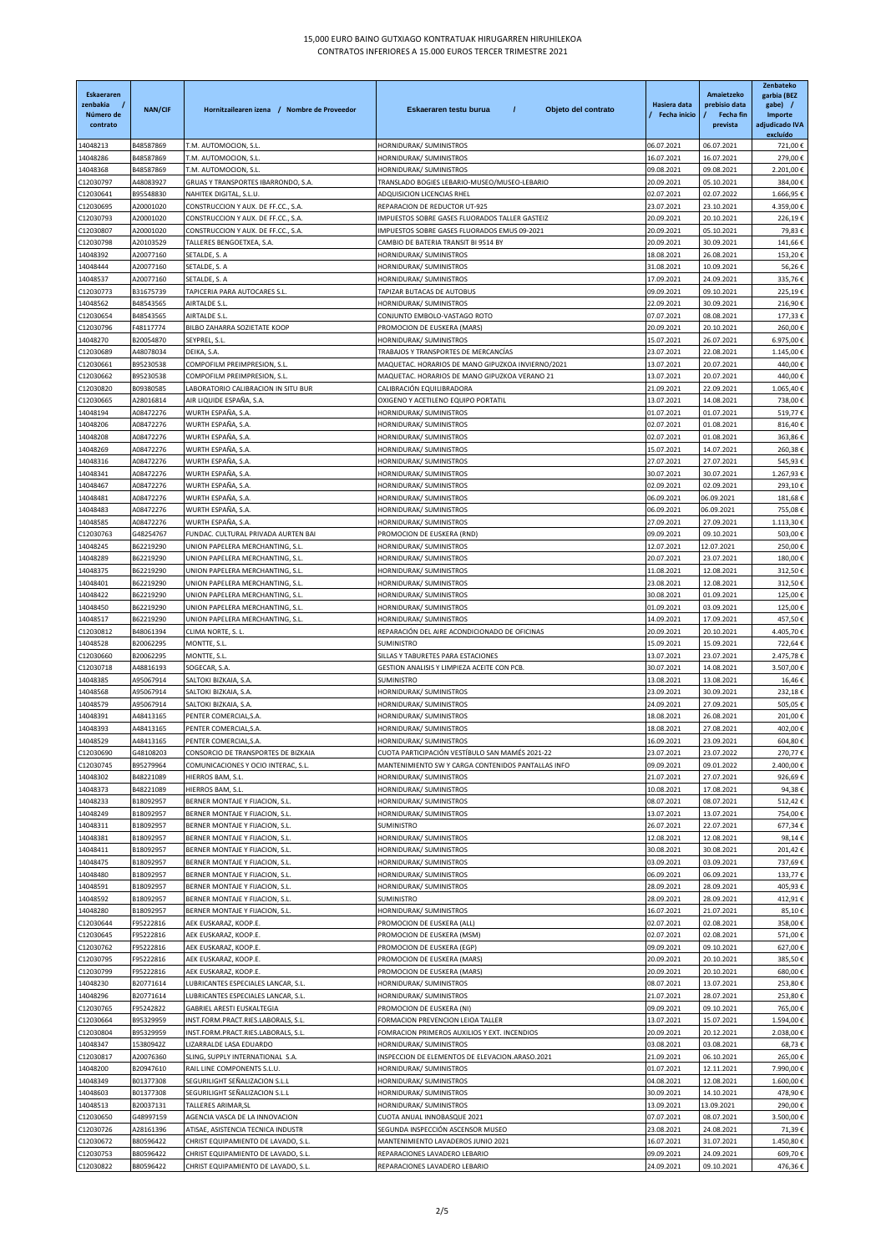| Eskaeraren<br>zenbakia<br>Número de | <b>NAN/CIF</b>         | Hornitzailearen izena / Nombre de Proveedor                               | $\prime$<br>Eskaeraren testu burua<br>Objeto del contrato                  | Hasiera data<br>Fecha inicio | Amaietzeko<br>prebisio data<br>Fecha fin | Zenbateko<br>garbia (BEZ<br>gabe) /<br>Importe |
|-------------------------------------|------------------------|---------------------------------------------------------------------------|----------------------------------------------------------------------------|------------------------------|------------------------------------------|------------------------------------------------|
| contrato                            |                        |                                                                           |                                                                            |                              | prevista                                 | adjudicado IVA<br>excluído                     |
| 14048213                            | B48587869              | T.M. AUTOMOCION, S.L.                                                     | HORNIDURAK/ SUMINISTROS                                                    | 06.07.2021                   | 06.07.2021                               | 721,00€                                        |
| 4048286                             | B48587869              | T.M. AUTOMOCION, S.L.                                                     | HORNIDURAK/ SUMINISTROS                                                    | 16.07.2021                   | 16.07.2021                               | 279,00€                                        |
| 14048368                            | B48587869              | T.M. AUTOMOCION, S.L                                                      | HORNIDURAK/ SUMINISTROS                                                    | 09.08.2021                   | 09.08.2021                               | 2.201,00€                                      |
| C12030797                           | A48083927<br>B95548830 | GRUAS Y TRANSPORTES IBARRONDO, S.A.                                       | TRANSLADO BOGIES LEBARIO-MUSEO/MUSEO-LEBARIO<br>ADQUISICION LICENCIAS RHEL | 20.09.2021                   | 05.10.2021                               | 384,00€<br>1.666,95€                           |
| C12030641<br>C12030695              | A20001020              | NAHITEK DIGITAL, S.L.U.<br>CONSTRUCCION Y AUX. DE FF.CC., S.A.            | REPARACION DE REDUCTOR UT-925                                              | 02.07.2021<br>23.07.2021     | 02.07.2022<br>23.10.2021                 | 4.359,00€                                      |
| C12030793                           | A20001020              | CONSTRUCCION Y AUX. DE FF.CC., S.A                                        | IMPUESTOS SOBRE GASES FLUORADOS TALLER GASTEIZ                             | 20.09.2021                   | 20.10.2021                               | 226,19€                                        |
| C12030807                           | A20001020              | CONSTRUCCION Y AUX. DE FF.CC., S.A.                                       | IMPUESTOS SOBRE GASES FLUORADOS EMUS 09-2021                               | 20.09.2021                   | 05.10.2021                               | 79,83€                                         |
| C12030798                           | A20103529              | TALLERES BENGOETXEA, S.A.                                                 | CAMBIO DE BATERIA TRANSIT BI 9514 BY                                       | 20.09.2021                   | 30.09.2021                               | 141,66€                                        |
| 14048392                            | A20077160              | SETALDE, S. A                                                             | HORNIDURAK/ SUMINISTROS                                                    | 18.08.2021                   | 26.08.2021                               | 153,20€                                        |
| 14048444                            | A20077160              | SETALDE, S. A                                                             | HORNIDURAK/ SUMINISTROS                                                    | 31.08.2021                   | 10.09.2021                               | 56,26€                                         |
| 14048537                            | A20077160              | SETALDE, S. A                                                             | HORNIDURAK/ SUMINISTROS                                                    | 17.09.2021                   | 24.09.2021                               | 335,76€                                        |
| C12030773                           | B31675739<br>B48543565 | TAPICERIA PARA AUTOCARES S.L.<br>AIRTALDE S.L                             | TAPIZAR BUTACAS DE AUTOBUS<br>HORNIDURAK/ SUMINISTROS                      | 09.09.2021<br>22.09.2021     | 09.10.2021<br>30.09.2021                 | 225,19€<br>216,90€                             |
| 14048562<br>C12030654               | B48543565              | AIRTALDE S.L.                                                             | CONJUNTO EMBOLO-VASTAGO ROTO                                               | 07.07.2021                   | 08.08.2021                               | 177,33€                                        |
| C12030796                           | F48117774              | BILBO ZAHARRA SOZIETATE KOOP                                              | PROMOCION DE EUSKERA (MARS)                                                | 20.09.2021                   | 20.10.2021                               | 260,00€                                        |
| 14048270                            | B20054870              | SEYPREL, S.L                                                              | HORNIDURAK/ SUMINISTROS                                                    | 15.07.2021                   | 26.07.2021                               | 6.975,00€                                      |
| C12030689                           | A48078034              | DEIKA, S.A                                                                | TRABAJOS Y TRANSPORTES DE MERCANCÍAS                                       | 23.07.2021                   | 22.08.2021                               | 1.145,00€                                      |
| C12030661                           | B95230538              | COMPOFILM PREIMPRESION, S.L.                                              | MAQUETAC. HORARIOS DE MANO GIPUZKOA INVIERNO/2021                          | 13.07.2021                   | 20.07.2021                               | 440,00€                                        |
| C12030662                           | B95230538              | COMPOFILM PREIMPRESION, S.L.                                              | MAQUETAC. HORARIOS DE MANO GIPUZKOA VERANO 21                              | 13.07.2021                   | 20.07.2021                               | 440,00€                                        |
| C12030820                           | B09380585              | LABORATORIO CALIBRACION IN SITU BUR                                       | CALIBRACIÓN EQUILIBRADORA                                                  | 21.09.2021                   | 22.09.2021                               | 1.065,40€                                      |
| C12030665                           | A28016814              | AIR LIQUIDE ESPAÑA, S.A.                                                  | OXIGENO Y ACETILENO EQUIPO PORTATIL                                        | 13.07.2021                   | 14.08.2021                               | 738,00€                                        |
| 14048194                            | A08472276<br>A08472276 | WURTH ESPAÑA, S.A.<br>WURTH ESPAÑA, S.A.                                  | HORNIDURAK/ SUMINISTROS                                                    | 01.07.2021<br>02.07.2021     | 01.07.2021                               | 519,77€<br>816,40€                             |
| 14048206<br>4048208                 | A08472276              | WURTH ESPAÑA, S.A                                                         | HORNIDURAK/ SUMINISTROS<br>HORNIDURAK/ SUMINISTROS                         | 02.07.2021                   | 01.08.2021<br>01.08.2021                 | 363,86€                                        |
| 4048269                             | A08472276              | WURTH ESPAÑA, S.A.                                                        | HORNIDURAK/ SUMINISTROS                                                    | 15.07.2021                   | 14.07.2021                               | 260,38€                                        |
| 14048316                            | A08472276              | WURTH ESPAÑA. S.A.                                                        | HORNIDURAK/ SUMINISTROS                                                    | 27.07.2021                   | 27.07.2021                               | 545,93€                                        |
| 14048341                            | A08472276              | WURTH ESPAÑA, S.A.                                                        | HORNIDURAK/ SUMINISTROS                                                    | 30.07.2021                   | 30.07.2021                               | 1.267,93€                                      |
| 14048467                            | A08472276              | WURTH ESPAÑA, S.A.                                                        | HORNIDURAK/ SUMINISTROS                                                    | 02.09.2021                   | 02.09.2021                               | 293,10€                                        |
| 14048481                            | A08472276              | WURTH ESPAÑA, S.A.                                                        | HORNIDURAK/ SUMINISTROS                                                    | 06.09.2021                   | 06.09.2021                               | 181,68€                                        |
| 14048483                            | A08472276              | WURTH ESPAÑA, S.A.                                                        | HORNIDURAK/ SUMINISTROS                                                    | 06.09.2021                   | 06.09.2021                               | 755,08€                                        |
| 14048585                            | A08472276              | WURTH ESPAÑA, S.A.                                                        | HORNIDURAK/ SUMINISTROS                                                    | 27.09.2021                   | 27.09.2021                               | 1.113,30€                                      |
| C12030763                           | G48254767              | FUNDAC. CULTURAL PRIVADA AURTEN BAI                                       | PROMOCION DE EUSKERA (RND)                                                 | 09.09.2021                   | 09.10.2021                               | 503,00€                                        |
| 4048245                             | B62219290              | UNION PAPELERA MERCHANTING, S.L.                                          | HORNIDURAK/ SUMINISTROS                                                    | 12.07.2021                   | 12.07.2021                               | 250,00€                                        |
| 14048289<br>14048375                | B62219290<br>B62219290 | UNION PAPELERA MERCHANTING, S.L.<br>UNION PAPELERA MERCHANTING, S.L       | HORNIDURAK/ SUMINISTROS<br>HORNIDURAK/ SUMINISTROS                         | 20.07.2021<br>11.08.2021     | 23.07.2021<br>12.08.2021                 | 180,00€<br>312,50€                             |
| 14048401                            | B62219290              | UNION PAPELERA MERCHANTING, S.L.                                          | HORNIDURAK/ SUMINISTROS                                                    | 23.08.2021                   | 12.08.2021                               | 312,50€                                        |
| 4048422                             | B62219290              | UNION PAPELERA MERCHANTING, S.L.                                          | HORNIDURAK/ SUMINISTROS                                                    | 30.08.2021                   | 01.09.2021                               | 125,00€                                        |
| 14048450                            | B62219290              | UNION PAPELERA MERCHANTING, S.L                                           | HORNIDURAK/ SUMINISTROS                                                    | 01.09.2021                   | 03.09.2021                               | 125,00€                                        |
| 14048517                            | B62219290              | UNION PAPELERA MERCHANTING, S.L                                           | HORNIDURAK/ SUMINISTROS                                                    | 14.09.2021                   | 17.09.2021                               | 457,50€                                        |
| C12030812                           | B48061394              | CLIMA NORTE, S. L.                                                        | REPARACIÓN DEL AIRE ACONDICIONADO DE OFICINAS                              | 20.09.2021                   | 20.10.2021                               | 4.405,70€                                      |
| 14048528                            | B20062295              | MONTTE, S.L.                                                              | <b>SUMINISTRO</b>                                                          | 15.09.2021                   | 15.09.2021                               | 722,64€                                        |
| C12030660                           | B20062295              | MONTTE, S.L.                                                              | SILLAS Y TABURETES PARA ESTACIONES                                         | 13.07.2021                   | 23.07.2021                               | 2.475,78€                                      |
| C12030718<br>14048385               | A48816193<br>A95067914 | SOGECAR, S.A.<br>SALTOKI BIZKAIA, S.A.                                    | GESTION ANALISIS Y LIMPIEZA ACEITE CON PCB.<br>SUMINISTRO                  | 30.07.2021<br>13.08.2021     | 14.08.2021<br>13.08.2021                 | 3.507,00€<br>16,46€                            |
| 14048568                            | A95067914              | SALTOKI BIZKAIA, S.A.                                                     | HORNIDURAK/ SUMINISTROS                                                    | 23.09.2021                   | 30.09.2021                               | 232,18€                                        |
| 14048579                            | A95067914              | SALTOKI BIZKAIA, S.A.                                                     | HORNIDURAK/ SUMINISTROS                                                    | 24.09.2021                   | 27.09.2021                               | 505,05€                                        |
| 4048391                             | A48413165              | PENTER COMERCIAL, S.A                                                     | HORNIDURAK/ SUMINISTROS                                                    | 18.08.2021                   | 26.08.2021                               | 201,00€                                        |
| 14048393                            | A48413165              | PENTER COMERCIAL, S.A.                                                    | HORNIDURAK/ SUMINISTROS                                                    | 18.08.2021                   | 27.08.2021                               | 402,00€                                        |
| 14048529                            | A48413165              | PENTER COMERCIAL, S.A.                                                    | HORNIDURAK/ SUMINISTROS                                                    | 16.09.2021                   | 23.09.2021                               | 604,80€                                        |
| C12030690                           | G48108203              | CONSORCIO DE TRANSPORTES DE BIZKAIA                                       | CUOTA PARTICIPACIÓN VESTÍBULO SAN MAMÉS 2021-22                            | 23.07.2021                   | 23.07.2022                               | 270,77€                                        |
| C12030745                           | B95279964              | COMUNICACIONES Y OCIO INTERAC, S.L                                        | MANTENIMIENTO SW Y CARGA CONTENIDOS PANTALLAS INFO                         | 09.09.2021                   | 09.01.2022                               | 2.400,00€                                      |
| 14048302<br>14048373                | B48221089<br>B48221089 | HIERROS BAM, S.L<br>HIERROS BAM, S.L                                      | HORNIDURAK/ SUMINISTROS<br>HORNIDURAK/ SUMINISTROS                         | 21.07.2021<br>10.08.2021     | 27.07.2021<br>17.08.2021                 | 926,69€<br>94,38€                              |
| 4048233                             | B18092957              | BERNER MONTAJE Y FIJACION, S.L.                                           | HORNIDURAK/ SUMINISTROS                                                    | 08.07.2021                   | 08.07.2021                               | 512,42€                                        |
| 4048249                             | B18092957              | BERNER MONTAJE Y FIJACION, S.L.                                           | HORNIDURAK/ SUMINISTROS                                                    | 13.07.2021                   | 13.07.2021                               | 754,00€                                        |
| 4048311                             | B18092957              | BERNER MONTAJE Y FIJACION, S.L.                                           | <b>SUMINISTRO</b>                                                          | 26.07.2021                   | 22.07.2021                               | 677,34€                                        |
| 14048381                            | B18092957              | BERNER MONTAJE Y FIJACION, S.L.                                           | HORNIDURAK/ SUMINISTROS                                                    | 12.08.2021                   | 12.08.2021                               | 98,14€                                         |
| 4048411                             | B18092957              | BERNER MONTAJE Y FIJACION, S.L.                                           | HORNIDURAK/ SUMINISTROS                                                    | 30.08.2021                   | 30.08.2021                               | 201,42€                                        |
| 14048475                            | B18092957              | BERNER MONTAJE Y FIJACION, S.L                                            | HORNIDURAK/ SUMINISTROS                                                    | 03.09.2021                   | 03.09.2021                               | 737,69€                                        |
| 14048480                            | B18092957              | BERNER MONTAJE Y FIJACION, S.L.                                           | HORNIDURAK/ SUMINISTROS                                                    | 06.09.2021                   | 06.09.2021                               | 133,77€                                        |
| 4048591<br>14048592                 | B18092957<br>B18092957 | BERNER MONTAJE Y FIJACION, S.L.<br>BERNER MONTAJE Y FIJACION, S.L.        | HORNIDURAK/ SUMINISTROS<br>SUMINISTRO                                      | 28.09.2021<br>28.09.2021     | 28.09.2021<br>28.09.2021                 | 405,93€<br>412,91€                             |
| 14048280                            | B18092957              | BERNER MONTAJE Y FIJACION, S.L.                                           | HORNIDURAK/ SUMINISTROS                                                    | 16.07.2021                   | 21.07.2021                               | 85,10€                                         |
| C12030644                           | F95222816              | AEK EUSKARAZ, KOOP.E.                                                     | PROMOCION DE EUSKERA (ALL)                                                 | 02.07.2021                   | 02.08.2021                               | 358,00€                                        |
| C12030645                           | F95222816              | AEK EUSKARAZ, KOOP.E.                                                     | PROMOCION DE EUSKERA (MSM)                                                 | 02.07.2021                   | 02.08.2021                               | 571,00€                                        |
| C12030762                           | F95222816              | AEK EUSKARAZ, KOOP.E.                                                     | PROMOCION DE EUSKERA (EGP)                                                 | 09.09.2021                   | 09.10.2021                               | 627,00€                                        |
| C12030795                           | F95222816              | AEK EUSKARAZ, KOOP.E.                                                     | PROMOCION DE EUSKERA (MARS)                                                | 20.09.2021                   | 20.10.2021                               | 385,50€                                        |
| C12030799                           | F95222816              | AEK EUSKARAZ, KOOP.E.                                                     | PROMOCION DE EUSKERA (MARS)                                                | 20.09.2021                   | 20.10.2021                               | 680,00€                                        |
| 14048230                            | B20771614              | LUBRICANTES ESPECIALES LANCAR, S.L.                                       | HORNIDURAK/ SUMINISTROS                                                    | 08.07.2021                   | 13.07.2021                               | 253,80€                                        |
| 14048296                            | B20771614              | LUBRICANTES ESPECIALES LANCAR, S.L.                                       | HORNIDURAK/ SUMINISTROS                                                    | 21.07.2021                   | 28.07.2021                               | 253,80€                                        |
| C12030765<br>C12030664              | F95242822<br>B95329959 | GABRIEL ARESTI EUSKALTEGIA<br>INST.FORM.PRACT.RIES.LABORALS, S.L.         | PROMOCION DE EUSKERA (NI)<br>FORMACION PREVENCION LEIOA TALLER             | 09.09.2021<br>13.07.2021     | 09.10.2021<br>15.07.2021                 | 765,00€<br>1.594,00€                           |
| 12030804                            | B95329959              | INST.FORM.PRACT.RIES.LABORALS, S.L.                                       | FOMRACION PRIMEROS AUXILIOS Y EXT. INCENDIOS                               | 20.09.2021                   | 20.12.2021                               | 2.038,00€                                      |
| 4048347                             | 15380942Z              | LIZARRALDE LASA EDUARDO                                                   | HORNIDURAK/ SUMINISTROS                                                    | 03.08.2021                   | 03.08.2021                               | 68,73€                                         |
| C12030817                           | A20076360              | SLING, SUPPLY INTERNATIONAL S.A.                                          | INSPECCION DE ELEMENTOS DE ELEVACION.ARASO.2021                            | 21.09.2021                   | 06.10.2021                               | 265,00€                                        |
| 4048200                             | B20947610              | RAIL LINE COMPONENTS S.L.U.                                               | HORNIDURAK/ SUMINISTROS                                                    | 01.07.2021                   | 12.11.2021                               | 7.990,00€                                      |
| 14048349                            | B01377308              | SEGURILIGHT SEÑALIZACION S.L.L                                            | HORNIDURAK/ SUMINISTROS                                                    | 04.08.2021                   | 12.08.2021                               | 1.600,00€                                      |
| 14048603                            | B01377308              | SEGURILIGHT SEÑALIZACION S.L.L                                            | HORNIDURAK/ SUMINISTROS                                                    | 30.09.2021                   | 14.10.2021                               | 478,90€                                        |
| 14048513                            | B20037131              | TALLERES ARIMAR, SL                                                       | HORNIDURAK/ SUMINISTROS                                                    | 13.09.2021                   | 13.09.2021                               | 290,00€                                        |
| C12030650                           | G48997159              | AGENCIA VASCA DE LA INNOVACION                                            | CUOTA ANUAL INNOBASQUE 2021                                                | 07.07.2021                   | 08.07.2021                               | 3.500,00€                                      |
| C12030726<br>C12030672              | A28161396<br>B80596422 | ATISAE, ASISTENCIA TECNICA INDUSTR<br>CHRIST EQUIPAMIENTO DE LAVADO, S.L. | SEGUNDA INSPECCIÓN ASCENSOR MUSEO<br>MANTENIMIENTO LAVADEROS JUNIO 2021    | 23.08.2021<br>16.07.2021     | 24.08.2021<br>31.07.2021                 | 71,39€<br>1.450,80€                            |
| C12030753                           | B80596422              | CHRIST EQUIPAMIENTO DE LAVADO, S.L.                                       | REPARACIONES LAVADERO LEBARIO                                              | 09.09.2021                   | 24.09.2021                               | 609,70€                                        |
| C12030822                           | B80596422              | CHRIST EQUIPAMIENTO DE LAVADO, S.L.                                       | REPARACIONES LAVADERO LEBARIO                                              | 24.09.2021                   | 09.10.2021                               | 476,36€                                        |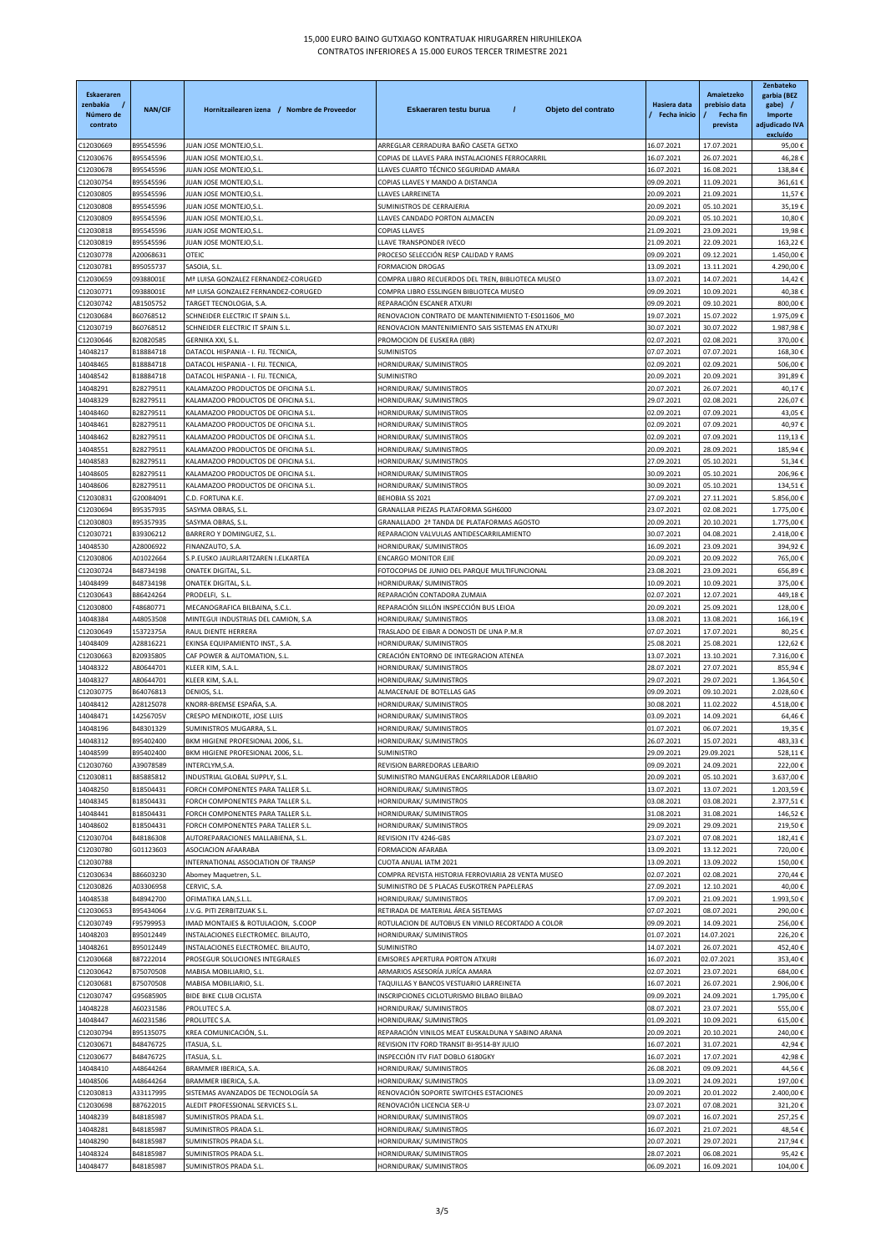| Eskaeraren<br>zenbakia<br>Número de<br>contrato | <b>NAN/CIF</b>         | Hornitzailearen izena / Nombre de Proveedor                                | Eskaeraren testu burua<br>$\prime$<br>Objeto del contrato         | Hasiera data<br>Fecha inicio | Amaietzeko<br>prebisio data<br><b>Fecha fin</b><br>prevista | Zenbateko<br>garbia (BEZ<br>gabe) /<br>Importe<br>adjudicado IVA<br>excluído |
|-------------------------------------------------|------------------------|----------------------------------------------------------------------------|-------------------------------------------------------------------|------------------------------|-------------------------------------------------------------|------------------------------------------------------------------------------|
| C12030669                                       | B95545596              | JUAN JOSE MONTEJO, S.L                                                     | ARREGLAR CERRADURA BAÑO CASETA GETXO                              | 16.07.2021                   | 17.07.2021                                                  | 95,00€                                                                       |
| C12030676                                       | B95545596              | JUAN JOSE MONTEJO,S.L                                                      | COPIAS DE LLAVES PARA INSTALACIONES FERROCARRIL                   | 16.07.2021                   | 26.07.2021                                                  | 46,28€                                                                       |
| C12030678                                       | B95545596              | JUAN JOSE MONTEJO,S.L                                                      | LLAVES CUARTO TÉCNICO SEGURIDAD AMARA                             | 16.07.2021                   | 16.08.2021                                                  | 138,84€                                                                      |
| C12030754                                       | B95545596              | JUAN JOSE MONTEJO, S.L.<br>JUAN JOSE MONTEJO,S.L                           | COPIAS LLAVES Y MANDO A DISTANCIA                                 | 09.09.2021                   | 11.09.2021                                                  | 361,61€                                                                      |
| C12030805<br>C12030808                          | B95545596<br>B95545596 | JUAN JOSE MONTEJO,S.L                                                      | LLAVES LARREINETA<br>SUMINISTROS DE CERRAJERIA                    | 20.09.2021<br>20.09.2021     | 21.09.2021<br>05.10.2021                                    | 11,57€<br>35,19€                                                             |
| C12030809                                       | B95545596              | JUAN JOSE MONTEJO,S.L                                                      | LLAVES CANDADO PORTON ALMACEN                                     | 20.09.2021                   | 05.10.2021                                                  | 10,80€                                                                       |
| C12030818                                       | B95545596              | JUAN JOSE MONTEJO,S.L                                                      | <b>COPIAS LLAVES</b>                                              | 21.09.2021                   | 23.09.2021                                                  | 19,98€                                                                       |
| C12030819                                       | B95545596              | JUAN JOSE MONTEJO,S.L                                                      | LLAVE TRANSPONDER IVECO                                           | 21.09.2021                   | 22.09.2021                                                  | 163,22€                                                                      |
| C12030778                                       | A20068631              | <b>OTEIC</b>                                                               | PROCESO SELECCIÓN RESP CALIDAD Y RAMS                             | 09.09.2021                   | 09.12.2021                                                  | 1.450,00€                                                                    |
| C12030781                                       | B95055737              | SASOIA, S.L.                                                               | <b>FORMACION DROGAS</b>                                           | 13.09.2021                   | 13.11.2021                                                  | 4.290,00€                                                                    |
| C12030659                                       | 09388001E              | Mª LUISA GONZALEZ FERNANDEZ-CORUGED                                        | COMPRA LIBRO RECUERDOS DEL TREN, BIBLIOTECA MUSEO                 | 13.07.2021                   | 14.07.2021                                                  | 14,42€                                                                       |
| C12030771                                       | 09388001E              | Mª LUISA GONZALEZ FERNANDEZ-CORUGED                                        | COMPRA LIBRO ESSLINGEN BIBLIOTECA MUSEO                           | 09.09.2021                   | 10.09.2021                                                  | 40,38€                                                                       |
| C12030742                                       | A81505752              | TARGET TECNOLOGIA, S.A.                                                    | REPARACIÓN ESCANER ATXURI                                         | 09.09.2021                   | 09.10.2021                                                  | 800,00€                                                                      |
| C12030684                                       | B60768512              | SCHNEIDER ELECTRIC IT SPAIN S.L.                                           | RENOVACION CONTRATO DE MANTENIMIENTO T-ES011606_M0                | 19.07.2021                   | 15.07.2022                                                  | 1.975,09€                                                                    |
| C12030719                                       | B60768512              | SCHNEIDER ELECTRIC IT SPAIN S.L.                                           | RENOVACION MANTENIMIENTO SAIS SISTEMAS EN ATXURI                  | 30.07.2021                   | 30.07.2022                                                  | 1.987,98€                                                                    |
| C12030646                                       | B20820585              | <b>GERNIKA XXI, S.L</b>                                                    | PROMOCION DE EUSKERA (IBR)                                        | 02.07.2021                   | 02.08.2021                                                  | 370,00€                                                                      |
| 14048217                                        | B18884718              | DATACOL HISPANIA - I. FIJ. TECNICA,                                        | <b>SUMINISTOS</b>                                                 | 07.07.2021                   | 07.07.2021                                                  | 168,30€                                                                      |
| 14048465                                        | B18884718              | DATACOL HISPANIA - I. FIJ. TECNICA                                         | HORNIDURAK/ SUMINISTROS                                           | 02.09.2021                   | 02.09.2021                                                  | 506,00€                                                                      |
| 14048542                                        | B18884718              | DATACOL HISPANIA - I. FIJ. TECNICA,                                        | SUMINISTRO                                                        | 20.09.2021                   | 20.09.2021                                                  | 391,89€                                                                      |
| 14048291<br>14048329                            | B28279511<br>B28279511 | KALAMAZOO PRODUCTOS DE OFICINA S.L.<br>KALAMAZOO PRODUCTOS DE OFICINA S.L. | HORNIDURAK/ SUMINISTROS                                           | 20.07.2021                   | 26.07.2021                                                  | 40,17€<br>226,07€                                                            |
| 14048460                                        | B28279511              | KALAMAZOO PRODUCTOS DE OFICINA S.L.                                        | HORNIDURAK/ SUMINISTROS<br>HORNIDURAK/ SUMINISTROS                | 29.07.2021<br>02.09.2021     | 02.08.2021<br>07.09.2021                                    | 43,05€                                                                       |
| 14048461                                        | B28279511              | KALAMAZOO PRODUCTOS DE OFICINA S.L.                                        | HORNIDURAK/ SUMINISTROS                                           | 02.09.2021                   | 07.09.2021                                                  | 40,97€                                                                       |
| 14048462                                        | B28279511              | KALAMAZOO PRODUCTOS DE OFICINA S.L.                                        | HORNIDURAK/ SUMINISTROS                                           | 02.09.2021                   | 07.09.2021                                                  | 119,13€                                                                      |
| 14048551                                        | B28279511              | KALAMAZOO PRODUCTOS DE OFICINA S.L.                                        | HORNIDURAK/ SUMINISTROS                                           | 20.09.2021                   | 28.09.2021                                                  | 185,94€                                                                      |
| 14048583                                        | B28279511              | KALAMAZOO PRODUCTOS DE OFICINA S.L.                                        | HORNIDURAK/ SUMINISTROS                                           | 27.09.2021                   | 05.10.2021                                                  | 51,34€                                                                       |
| 14048605                                        | B28279511              | KALAMAZOO PRODUCTOS DE OFICINA S.L                                         | HORNIDURAK/ SUMINISTROS                                           | 30.09.2021                   | 05.10.2021                                                  | 206,96€                                                                      |
| 14048606                                        | B28279511              | KALAMAZOO PRODUCTOS DE OFICINA S.L.                                        | HORNIDURAK/ SUMINISTROS                                           | 30.09.2021                   | 05.10.2021                                                  | 134,51€                                                                      |
| C12030831                                       | G20084091              | C.D. FORTUNA K.E.                                                          | <b>BEHOBIA SS 2021</b>                                            | 27.09.2021                   | 27.11.2021                                                  | 5.856,00€                                                                    |
| C12030694                                       | B95357935              | SASYMA OBRAS, S.L                                                          | GRANALLAR PIEZAS PLATAFORMA SGH6000                               | 23.07.2021                   | 02.08.2021                                                  | 1.775,00€                                                                    |
| C12030803                                       | B95357935              | SASYMA OBRAS, S.L                                                          | GRANALLADO 2ª TANDA DE PLATAFORMAS AGOSTO                         | 20.09.2021                   | 20.10.2021                                                  | 1.775,00€                                                                    |
| C12030721                                       | B39306212              | BARRERO Y DOMINGUEZ, S.L.                                                  | REPARACION VALVULAS ANTIDESCARRILAMIENTO                          | 30.07.2021                   | 04.08.2021                                                  | 2.418,00€                                                                    |
| 14048530                                        | A28006922              | FINANZAUTO, S.A.                                                           | HORNIDURAK/ SUMINISTROS                                           | 16.09.2021                   | 23.09.2021                                                  | 394,92€                                                                      |
| C12030806                                       | A01022664              | S.P.EUSKO JAURLARITZAREN I.ELKARTEA                                        | <b>ENCARGO MONITOR EJIE</b>                                       | 20.09.2021                   | 20.09.2022                                                  | 765,00€                                                                      |
| C12030724                                       | B48734198              | ONATEK DIGITAL, S.L.                                                       | FOTOCOPIAS DE JUNIO DEL PARQUE MULTIFUNCIONAL                     | 23.08.2021                   | 23.09.2021                                                  | 656,89€                                                                      |
| 14048499                                        | B48734198              | ONATEK DIGITAL, S.L.                                                       | HORNIDURAK/ SUMINISTROS                                           | 10.09.2021                   | 10.09.2021                                                  | 375,00€                                                                      |
| C12030643                                       | B86424264              | PRODELFI, S.L.                                                             | REPARACIÓN CONTADORA ZUMAIA                                       | 02.07.2021                   | 12.07.2021                                                  | 449,18€                                                                      |
| C12030800<br>14048384                           | F48680771<br>A48053508 | MECANOGRAFICA BILBAINA, S.C.L.<br>MINTEGUI INDUSTRIAS DEL CAMION, S.A      | REPARACIÓN SILLÓN INSPECCIÓN BUS LEIOA<br>HORNIDURAK/ SUMINISTROS | 20.09.2021<br>13.08.2021     | 25.09.2021<br>13.08.2021                                    | 128,00€<br>166,19€                                                           |
| C12030649                                       | 15372375A              | RAUL DIENTE HERRERA                                                        | TRASLADO DE EIBAR A DONOSTI DE UNA P.M.R                          | 07.07.2021                   | 17.07.2021                                                  | 80,25€                                                                       |
| 14048409                                        | A28816221              | EKINSA EQUIPAMIENTO INST., S.A.                                            | HORNIDURAK/ SUMINISTROS                                           | 25.08.2021                   | 25.08.2021                                                  | 122,62€                                                                      |
| C12030663                                       | B20935805              | CAF POWER & AUTOMATION, S.L                                                | CREACIÓN ENTORNO DE INTEGRACION ATENEA                            | 13.07.2021                   | 13.10.2021                                                  | 7.316,00€                                                                    |
| 14048322                                        | A80644701              | KLEER KIM, S.A.L                                                           | HORNIDURAK/ SUMINISTROS                                           | 28.07.2021                   | 27.07.2021                                                  | 855,94€                                                                      |
| 14048327                                        | A80644701              | KLEER KIM, S.A.L.                                                          | HORNIDURAK/ SUMINISTROS                                           | 29.07.2021                   | 29.07.2021                                                  | 1.364,50€                                                                    |
| C12030775                                       | B64076813              | DENIOS, S.L.                                                               | ALMACENAJE DE BOTELLAS GAS                                        | 09.09.2021                   | 09.10.2021                                                  | 2.028,60€                                                                    |
| 14048412                                        | A28125078              | KNORR-BREMSE ESPAÑA, S.A                                                   | HORNIDURAK/ SUMINISTROS                                           | 30.08.2021                   | 11.02.2022                                                  | 4.518,00€                                                                    |
| 14048471                                        | 14256705V              | CRESPO MENDIKOTE, JOSE LUIS                                                | HORNIDURAK/ SUMINISTROS                                           | 03.09.2021                   | 14.09.2021                                                  | 64,46€                                                                       |
| 14048196                                        | B48301329              | SUMINISTROS MUGARRA, S.L.                                                  | HORNIDURAK/ SUMINISTROS                                           | 01.07.2021                   | 06.07.2021                                                  | 19,35€                                                                       |
| 14048312                                        | B95402400              | BKM HIGIENE PROFESIONAL 2006, S.L.                                         | HORNIDURAK/ SUMINISTROS                                           | 26.07.2021                   | 15.07.2021                                                  | 483,33€                                                                      |
| 14048599                                        | B95402400              | BKM HIGIENE PROFESIONAL 2006, S.L.                                         | SUMINISTRO                                                        | 29.09.2021                   | 29.09.2021                                                  | 528,11€                                                                      |
| C12030760                                       | A39078589              | INTERCLYM, S.A.                                                            | REVISION BARREDORAS LEBARIO                                       | 09.09.2021                   | 24.09.2021                                                  | 222,00€                                                                      |
| C12030811                                       | B85885812              | INDUSTRIAL GLOBAL SUPPLY, S.L                                              | SUMINISTRO MANGUERAS ENCARRILADOR LEBARIO                         | 20.09.2021                   | 05.10.2021                                                  | 3.637,00€                                                                    |
| 14048250                                        | B18504431              | FORCH COMPONENTES PARA TALLER S.L.                                         | HORNIDURAK/ SUMINISTROS                                           | 13.07.2021                   | 13.07.2021                                                  | 1.203,59€                                                                    |
| 14048345                                        | B18504431              | FORCH COMPONENTES PARA TALLER S.L                                          | HORNIDURAK/ SUMINISTROS                                           | 03.08.2021                   | 03.08.2021                                                  | 2.377,51€                                                                    |
| 14048441                                        | B18504431              | FORCH COMPONENTES PARA TALLER S.L                                          | HORNIDURAK/ SUMINISTROS                                           | 31.08.2021                   | 31.08.2021                                                  | 146,52€                                                                      |
| 14048602<br>C12030704                           | B18504431<br>B48186308 | FORCH COMPONENTES PARA TALLER S.L<br>AUTOREPARACIONES MALLABIENA, S.L.     | HORNIDURAK/ SUMINISTROS<br>REVISION ITV 4246-GBS                  | 29.09.2021<br>23.07.2021     | 29.09.2021<br>07.08.2021                                    | 219,50€<br>182,41€                                                           |
| C12030780                                       | G01123603              | ASOCIACION AFAARABA                                                        | FORMACION AFARABA                                                 | 13.09.2021                   | 13.12.2021                                                  | 720,00€                                                                      |
| C12030788                                       |                        | INTERNATIONAL ASSOCIATION OF TRANSP                                        | CUOTA ANUAL IATM 2021                                             | 13.09.2021                   | 13.09.2022                                                  | 150,00€                                                                      |
| C12030634                                       | B86603230              | Abomey Maquetren, S.L.                                                     | COMPRA REVISTA HISTORIA FERROVIARIA 28 VENTA MUSEO                | 02.07.2021                   | 02.08.2021                                                  | 270,44€                                                                      |
| C12030826                                       | A03306958              | CERVIC, S.A.                                                               | SUMINISTRO DE 5 PLACAS EUSKOTREN PAPELERAS                        | 27.09.2021                   | 12.10.2021                                                  | 40,00€                                                                       |
| 14048538                                        | B48942700              | OFIMATIKA LAN, S.L.L.                                                      | HORNIDURAK/ SUMINISTROS                                           | 17.09.2021                   | 21.09.2021                                                  | 1.993,50€                                                                    |
| C12030653                                       | B95434064              | J.V.G. PITI ZERBITZUAK S.L                                                 | RETIRADA DE MATERIAL ÁREA SISTEMAS                                | 07.07.2021                   | 08.07.2021                                                  | 290,00€                                                                      |
| C12030749                                       | F95799953              | IMAD MONTAJES & ROTULACION, S.COOP                                         | ROTULACION DE AUTOBUS EN VINILO RECORTADO A COLOR                 | 09.09.2021                   | 14.09.2021                                                  | 256,00€                                                                      |
| 14048203                                        | B95012449              | INSTALACIONES ELECTROMEC. BILAUTO,                                         | HORNIDURAK/ SUMINISTROS                                           | 01.07.2021                   | 14.07.2021                                                  | 226,20€                                                                      |
| 14048261                                        | B95012449              | INSTALACIONES ELECTROMEC. BILAUTO,                                         | SUMINISTRO                                                        | 14.07.2021                   | 26.07.2021                                                  | 452,40€                                                                      |
| C12030668                                       | B87222014              | PROSEGUR SOLUCIONES INTEGRALES                                             | <b>EMISORES APERTURA PORTON ATXURI</b>                            | 16.07.2021                   | 02.07.2021                                                  | 353,40€                                                                      |
| C12030642                                       | B75070508              | MABISA MOBILIARIO, S.L.                                                    | ARMARIOS ASESORÍA JURÍCA AMARA                                    | 02.07.2021                   | 23.07.2021                                                  | 684,00€                                                                      |
| C12030681                                       | B75070508              | MABISA MOBILIARIO, S.L.                                                    | TAQUILLAS Y BANCOS VESTUARIO LARREINETA                           | 16.07.2021                   | 26.07.2021                                                  | 2.906,00€                                                                    |
| C12030747                                       | G95685905              | <b>BIDE BIKE CLUB CICLISTA</b>                                             | INSCRIPCIONES CICLOTURISMO BILBAO BILBAO                          | 09.09.2021                   | 24.09.2021                                                  | 1.795,00€                                                                    |
| 14048228                                        | A60231586              | PROLUTEC S.A.                                                              | HORNIDURAK/ SUMINISTROS                                           | 08.07.2021                   | 23.07.2021                                                  | 555,00€                                                                      |
| 14048447                                        | A60231586              | PROLUTEC S.A.                                                              | HORNIDURAK/ SUMINISTROS                                           | 01.09.2021                   | 10.09.2021                                                  | 615,00€                                                                      |
| C12030794                                       | B95135075              | KREA COMUNICACIÓN, S.L.                                                    | REPARACIÓN VINILOS MEAT EUSKALDUNA Y SABINO ARANA                 | 20.09.2021                   | 20.10.2021                                                  | 240,00€                                                                      |
| C12030671                                       | B48476725              | ITASUA, S.L.                                                               | REVISION ITV FORD TRANSIT BI-9514-BY JULIO                        | 16.07.2021                   | 31.07.2021                                                  | 42,94€                                                                       |
| C12030677                                       | B48476725              | ITASUA, S.L.                                                               | INSPECCIÓN ITV FIAT DOBLO 6180GKY                                 | 16.07.2021                   | 17.07.2021                                                  | 42,98€                                                                       |
| 14048410                                        | A48644264<br>A48644264 | BRAMMER IBERICA, S.A.<br>BRAMMER IBERICA, S.A.                             | HORNIDURAK/ SUMINISTROS<br>HORNIDURAK/ SUMINISTROS                | 26.08.2021<br>13.09.2021     | 09.09.2021<br>24.09.2021                                    | 44,56€<br>197,00€                                                            |
| 14048506<br>C12030813                           | A33117995              | SISTEMAS AVANZADOS DE TECNOLOGÍA SA                                        | RENOVACIÓN SOPORTE SWITCHES ESTACIONES                            | 20.09.2021                   | 20.01.2022                                                  | 2.400,00€                                                                    |
| C12030698                                       | B87622015              | ALEDIT PROFESSIONAL SERVICES S.L.                                          | RENOVACIÓN LICENCIA SER-U                                         | 23.07.2021                   | 07.08.2021                                                  | 321,20€                                                                      |
| 14048239                                        | B48185987              | SUMINISTROS PRADA S.L.                                                     | HORNIDURAK/ SUMINISTROS                                           | 09.07.2021                   | 16.07.2021                                                  | 257,25€                                                                      |
| 14048281                                        | B48185987              | SUMINISTROS PRADA S.L.                                                     | HORNIDURAK/ SUMINISTROS                                           | 16.07.2021                   | 21.07.2021                                                  | 48,54€                                                                       |
| 14048290                                        | B48185987              | SUMINISTROS PRADA S.L.                                                     | HORNIDURAK/ SUMINISTROS                                           | 20.07.2021                   | 29.07.2021                                                  | 217,94€                                                                      |
| 14048324                                        | B48185987              | SUMINISTROS PRADA S.L.                                                     | HORNIDURAK/ SUMINISTROS                                           | 28.07.2021                   | 06.08.2021                                                  | 95,42€                                                                       |
| 14048477                                        | B48185987              | SUMINISTROS PRADA S.L.                                                     | HORNIDURAK/ SUMINISTROS                                           | 06.09.2021                   | 16.09.2021                                                  | 104,00€                                                                      |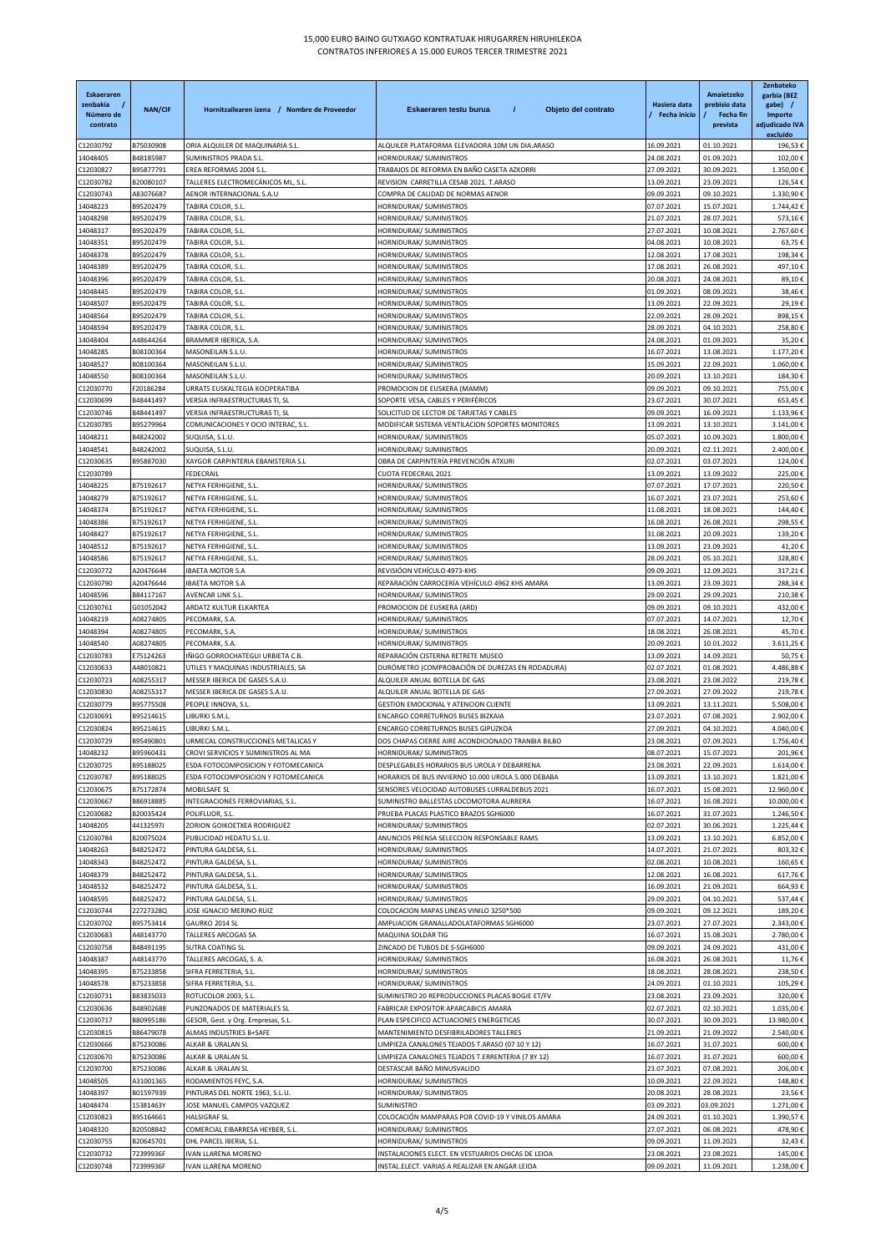| <b>Eskaeraren</b><br>zenbakia<br>Número de<br>contrato | <b>NAN/CIF</b>         | Hornitzailearen izena / Nombre de Proveedor                            | Eskaeraren testu burua<br>$\prime$<br>Objeto del contrato                             | Hasiera data<br>Fecha inicio | Amaietzeko<br>prebisio data<br><b>Fecha fin</b><br>prevista | Zenbateko<br>garbia (BEZ<br>gabe) /<br>Importe<br>adjudicado IVA<br>excluído |
|--------------------------------------------------------|------------------------|------------------------------------------------------------------------|---------------------------------------------------------------------------------------|------------------------------|-------------------------------------------------------------|------------------------------------------------------------------------------|
| C12030792                                              | B75030908              | ORIA ALQUILER DE MAQUINARIA S.L.                                       | ALQUILER PLATAFORMA ELEVADORA 10M UN DIA.ARASO                                        | 16.09.2021                   | 01.10.2021                                                  | 196,53€                                                                      |
| 14048405                                               | B48185987              | SUMINISTROS PRADA S.L.                                                 | HORNIDURAK/ SUMINISTROS                                                               | 24.08.2021                   | 01.09.2021                                                  | 102,00€                                                                      |
| C12030827                                              | B95877791<br>B20080107 | EREA REFORMAS 2004 S.L<br>TALLERES ELECTROMECÁNICOS ML, S.L.           | TRABAJOS DE REFORMA EN BAÑO CASETA AZKORRI<br>REVISION CARRETILLA CESAB 2021. T.ARASO | 27.09.2021                   | 30.09.2021                                                  | 1.350,00€                                                                    |
| C12030782<br>C12030743                                 | A83076687              | AENOR INTERNACIONAL S.A.U                                              | COMPRA DE CALIDAD DE NORMAS AENOR                                                     | 13.09.2021                   | 23.09.2021                                                  | 126,54€<br>1.330,90€                                                         |
| 14048223                                               | B95202479              | TABIRA COLOR, S.L.                                                     | HORNIDURAK/ SUMINISTROS                                                               | 09.09.2021<br>07.07.2021     | 09.10.2021<br>15.07.2021                                    | 1.744,42€                                                                    |
| 14048298                                               | B95202479              | TABIRA COLOR, S.L.                                                     | HORNIDURAK/ SUMINISTROS                                                               | 21.07.2021                   | 28.07.2021                                                  | 573,16€                                                                      |
| 14048317                                               | B95202479              | TABIRA COLOR, S.L                                                      | HORNIDURAK/ SUMINISTROS                                                               | 27.07.2021                   | 10.08.2021                                                  | 2.767,60€                                                                    |
| 14048351                                               | B95202479              | TABIRA COLOR, S.L.                                                     | HORNIDURAK/ SUMINISTROS                                                               | 04.08.2021                   | 10.08.2021                                                  | 63,75€                                                                       |
| 14048378                                               | B95202479              | TABIRA COLOR, S.L.                                                     | HORNIDURAK/ SUMINISTROS                                                               | 12.08.2021                   | 17.08.2021                                                  | 198,34€                                                                      |
| 14048389                                               | B95202479              | TABIRA COLOR, S.L                                                      | HORNIDURAK/ SUMINISTROS                                                               | 17.08.2021                   | 26.08.2021                                                  | 497,10€                                                                      |
| 14048396                                               | B95202479              | TABIRA COLOR, S.L.                                                     | HORNIDURAK/ SUMINISTROS                                                               | 20.08.2021                   | 24.08.2021                                                  | 89,10€                                                                       |
| 14048445                                               | B95202479              | TABIRA COLOR, S.L.                                                     | HORNIDURAK/ SUMINISTROS                                                               | 01.09.2021                   | 08.09.2021                                                  | 38,46€                                                                       |
| 14048507                                               | B95202479              | TABIRA COLOR, S.L                                                      | HORNIDURAK/ SUMINISTROS                                                               | 13.09.2021                   | 22.09.2021                                                  | 29,19€                                                                       |
| 14048564                                               | B95202479              | TABIRA COLOR, S.L                                                      | HORNIDURAK/ SUMINISTROS                                                               | 22.09.2021                   | 28.09.2021                                                  | 898,15€                                                                      |
| 14048594                                               | B95202479              | TABIRA COLOR, S.L.                                                     | HORNIDURAK/ SUMINISTROS                                                               | 28.09.2021                   | 04.10.2021                                                  | 258,80€                                                                      |
| 14048404                                               | A48644264              | BRAMMER IBERICA, S.A.                                                  | HORNIDURAK/ SUMINISTROS                                                               | 24.08.2021                   | 01.09.2021                                                  | 35,20€                                                                       |
| 14048285                                               | B08100364              | MASONEILAN S.L.U.                                                      | HORNIDURAK/ SUMINISTROS                                                               | 16.07.2021                   | 13.08.2021                                                  | 1.177,20€                                                                    |
| 14048527                                               | B08100364              | MASONEILAN S.L.U.                                                      | HORNIDURAK/ SUMINISTROS                                                               | 15.09.2021                   | 22.09.2021                                                  | 1.060,00€                                                                    |
| 14048550                                               | B08100364              | MASONEILAN S.L.U.                                                      | HORNIDURAK/ SUMINISTROS                                                               | 20.09.2021                   | 13.10.2021                                                  | 184,30€                                                                      |
| C12030770                                              | F20186284              | URRATS EUSKALTEGIA KOOPERATIBA                                         | PROMOCION DE EUSKERA (MAMM)                                                           | 09.09.2021                   | 09.10.2021                                                  | 755,00€                                                                      |
| C12030699                                              | B48441497              | VERSIA INFRAESTRUCTURAS TI, SL                                         | SOPORTE VESA, CABLES Y PERIFÉRICOS                                                    | 23.07.2021                   | 30.07.2021                                                  | 653,45€                                                                      |
| C12030746                                              | B48441497              | VERSIA INFRAESTRUCTURAS TI, SL                                         | SOLICITUD DE LECTOR DE TARJETAS Y CABLES                                              | 09.09.2021                   | 16.09.2021                                                  | 1.133,96€                                                                    |
| C12030785                                              | B95279964              | COMUNICACIONES Y OCIO INTERAC, S.L.                                    | MODIFICAR SISTEMA VENTILACION SOPORTES MONITORES                                      | 13.09.2021                   | 13.10.2021                                                  | 3.141,00€                                                                    |
| 14048211                                               | B48242002              | SUQUISA, S.L.U                                                         | HORNIDURAK/ SUMINISTROS                                                               | 05.07.2021                   | 10.09.2021                                                  | 1.800,00€                                                                    |
| 14048541                                               | B48242002              | SUQUISA, S.L.U.                                                        | HORNIDURAK/ SUMINISTROS                                                               | 20.09.2021                   | 02.11.2021                                                  | 2.400,00€                                                                    |
| C12030635                                              | B95887030              | XAYGOR CARPINTERIA EBANISTERIA S.L                                     | OBRA DE CARPINTERÍA PREVENCIÓN ATXURI                                                 | 02.07.2021                   | 03.07.2021                                                  | 124,00€                                                                      |
| C12030789                                              |                        | FEDECRAIL                                                              | <b>CUOTA FEDECRAIL 2021</b>                                                           | 13.09.2021                   | 13.09.2022                                                  | 225,00€                                                                      |
| 14048225                                               | B75192617              | NETYA FERHIGIENE, S.L.                                                 | HORNIDURAK/ SUMINISTROS                                                               | 07.07.2021                   | 17.07.2021                                                  | 220,50€                                                                      |
| 14048279                                               | B75192617              | NETYA FERHIGIENE, S.L.                                                 | HORNIDURAK/ SUMINISTROS                                                               | 16.07.2021                   | 23.07.2021                                                  | 253,60€                                                                      |
| 14048374                                               | B75192617              | NETYA FERHIGIENE, S.L.                                                 | HORNIDURAK/ SUMINISTROS                                                               | 11.08.2021                   | 18.08.2021                                                  | 144,40€                                                                      |
| 14048386                                               | B75192617              | NETYA FERHIGIENE, S.L.                                                 | HORNIDURAK/ SUMINISTROS                                                               | 16.08.2021                   | 26.08.2021                                                  | 298,55€                                                                      |
| 14048427                                               | B75192617              | NETYA FERHIGIENE, S.L                                                  | HORNIDURAK/ SUMINISTROS                                                               | 31.08.2021                   | 20.09.2021                                                  | 139,20€                                                                      |
| 14048512                                               | B75192617              | NETYA FERHIGIENE, S.L.                                                 | HORNIDURAK/ SUMINISTROS                                                               | 13.09.2021                   | 23.09.2021                                                  | 41,20€                                                                       |
| 14048586                                               | B75192617              | NETYA FERHIGIENE, S.L.                                                 | HORNIDURAK/ SUMINISTROS                                                               | 28.09.2021                   | 05.10.2021                                                  | 328,80€                                                                      |
| C12030772                                              | A20476644              | <b>IBAETA MOTOR S.A</b>                                                | REVISIÓON VEHÍCULO 4973-KHS                                                           | 09.09.2021                   | 12.09.2021                                                  | 317,21€                                                                      |
| C12030790                                              | A20476644              | IBAETA MOTOR S.A                                                       | REPARACIÓN CARROCERÍA VEHÍCULO 4962 KHS AMARA                                         | 13.09.2021                   | 23.09.2021                                                  | 288,34€                                                                      |
| 14048596                                               | B84117167              | AVENCAR LINK S.L.                                                      | HORNIDURAK/ SUMINISTROS                                                               | 29.09.2021                   | 29.09.2021                                                  | 210,38€                                                                      |
| C12030761                                              | G01052042              | ARDATZ KULTUR ELKARTEA                                                 | PROMOCION DE EUSKERA (ARD)                                                            | 09.09.2021                   | 09.10.2021                                                  | 432,00€                                                                      |
| 14048219                                               | A08274805              | PECOMARK, S.A                                                          | HORNIDURAK/ SUMINISTROS                                                               | 07.07.2021                   | 14.07.2021                                                  | 12,70€                                                                       |
| 14048394                                               | A08274805              | PECOMARK, S.A.                                                         | HORNIDURAK/ SUMINISTROS                                                               | 18.08.2021                   | 26.08.2021                                                  | 45,70€                                                                       |
| 14048540                                               | A08274805              | PECOMARK, S.A.                                                         | HORNIDURAK/ SUMINISTROS                                                               | 20.09.2021<br>13.09.2021     | 10.01.2022<br>14.09.2021                                    | 3.611,25€<br>50,75€                                                          |
| C12030783<br>C12030633                                 | E75124263<br>A48010821 | IÑIGO GORROCHATEGUI URBIETA C.B.<br>UTILES Y MAQUINAS INDUSTRIALES, SA | REPARACIÓN CISTERNA RETRETE MUSEO<br>DURÓMETRO (COMPROBACIÓN DE DUREZAS EN RODADURA)  | 02.07.2021                   | 01.08.2021                                                  | 4.486,88€                                                                    |
| C12030723                                              | A08255317              | MESSER IBERICA DE GASES S.A.U.                                         | ALQUILER ANUAL BOTELLA DE GAS                                                         | 23.08.2021                   | 23.08.2022                                                  | 219,78€                                                                      |
| C12030830                                              | A08255317              | MESSER IBERICA DE GASES S.A.U.                                         | ALQUILER ANUAL BOTELLA DE GAS                                                         | 27.09.2021                   | 27.09.2022                                                  | 219,78€                                                                      |
| C12030779                                              | B95775508              | PEOPLE INNOVA, S.L.                                                    | GESTION EMOCIONAL Y ATENCION CLIENTE                                                  | 13.09.2021                   | 13.11.2021                                                  | 5.508,00€                                                                    |
| C12030691                                              | B95214615              | LIBURKI S.M.L.                                                         | ENCARGO CORRETURNOS BUSES BIZKAIA                                                     | 23.07.2021                   | 07.08.2021                                                  | 2.902,00€                                                                    |
| C12030824                                              | B95214615              | LIBURKI S.M.L.                                                         | ENCARGO CORRETURNOS BUSES GIPUZKOA                                                    | 27.09.2021                   | 04.10.2021                                                  | 4.040,00€                                                                    |
| C12030729                                              | B95490801              | URMECAL CONSTRUCCIONES METALICAS Y                                     | DOS CHAPAS CIERRE AIRE ACONDICIONADO TRANBIA BILBO                                    | 23.08.2021                   | 07.09.2021                                                  | 1.756,40€                                                                    |
| 14048232                                               | B95960431              | CROVI SERVICIOS Y SUMINISTROS AL MA                                    | HORNIDURAK/ SUMINISTROS                                                               | 08.07.2021                   | 15.07.2021                                                  | 201,96€                                                                      |
| C12030725                                              | B95188025              | ESDA FOTOCOMPOSICION Y FOTOMECANICA                                    | DESPLEGABLES HORARIOS BUS UROLA Y DEBARRENA                                           | 23.08.2021                   | 22.09.2021                                                  | 1.614,00€                                                                    |
| C12030787                                              | B95188025              | ESDA FOTOCOMPOSICION Y FOTOMECANICA                                    | HORARIOS DE BUS INVIERNO 10.000 UROLA 5.000 DEBABA                                    | 13.09.2021                   | 13.10.2021                                                  | 1.821,00€                                                                    |
| C12030675                                              | B75172874              | MOBILSAFE SL                                                           | SENSORES VELOCIDAD AUTOBUSES LURRALDEBUS 2021                                         | 16.07.2021                   | 15.08.2021                                                  | 12.960,00€                                                                   |
| C12030667                                              | B86918885              | INTEGRACIONES FERROVIARIAS, S.L.                                       | SUMINISTRO BALLESTAS LOCOMOTORA AURRERA                                               | 16.07.2021                   | 16.08.2021                                                  | 10.000,00€                                                                   |
| C12030682                                              | B20035424              | POLIFLUOR, S.L.                                                        | PRUEBA PLACAS PLASTICO BRAZOS SGH6000                                                 | 16.07.2021                   | 31.07.2021                                                  | 1.246,50€                                                                    |
| 14048205                                               | 44132597J              | ZORION GOIKOETXEA RODRIGUEZ                                            | HORNIDURAK/ SUMINISTROS                                                               | 02.07.2021                   | 30.06.2021                                                  | 1.225,44 €                                                                   |
| C12030784                                              | B20075024              | PUBLICIDAD HEDATU S.L.U.                                               | ANUNCIOS PRENSA SELECCION RESPONSABLE RAMS                                            | 13.09.2021                   | 13.10.2021                                                  | 6.852,00€                                                                    |
| 14048263                                               | B48252472              | PINTURA GALDESA, S.L.                                                  | HORNIDURAK/ SUMINISTROS                                                               | 14.07.2021                   | 21.07.2021                                                  | 803,32€                                                                      |
| 14048343                                               | B48252472              | PINTURA GALDESA, S.L.                                                  | HORNIDURAK/ SUMINISTROS                                                               | 02.08.2021                   | 10.08.2021                                                  | 160,65€                                                                      |
| 14048379                                               | B48252472              | PINTURA GALDESA, S.L                                                   | HORNIDURAK/ SUMINISTROS                                                               | 12.08.2021                   | 16.08.2021                                                  | 617,76€                                                                      |
| 14048532                                               | B48252472              | PINTURA GALDESA, S.L.                                                  | HORNIDURAK/ SUMINISTROS                                                               | 16.09.2021                   | 21.09.2021                                                  | 664,93€                                                                      |
| 14048595                                               | B48252472              | PINTURA GALDESA, S.L.                                                  | HORNIDURAK/ SUMINISTROS                                                               | 29.09.2021                   | 04.10.2021                                                  | 537,44€                                                                      |
| C12030744                                              | 22727328Q              | JOSE IGNACIO MERINO RUIZ                                               | COLOCACION MAPAS LINEAS VINILO 3250*500                                               | 09.09.2021                   | 09.12.2021                                                  | 189,20€                                                                      |
| C12030702                                              | B95753414              | GAURKO 2014 SL                                                         | AMPLIACION GRANALLADOLATAFORMAS SGH6000                                               | 23.07.2021                   | 27.07.2021                                                  | 2.343,00 €                                                                   |
| C12030683                                              | A48143770              | TALLERES ARCOGAS SA                                                    | MAQUINA SOLDAR TIG                                                                    | 16.07.2021                   | 15.08.2021                                                  | 2.780,00€                                                                    |
| C12030758                                              | B48491195              | SUTRA COATING SL                                                       | ZINCADO DE TUBOS DE S-SGH6000                                                         | 09.09.2021                   | 24.09.2021                                                  | 431,00€                                                                      |
| 14048387                                               | A48143770              | TALLERES ARCOGAS, S. A.                                                | HORNIDURAK/ SUMINISTROS                                                               | 16.08.2021                   | 26.08.2021                                                  | 11,76€                                                                       |
| 14048395                                               | B75233858              | SIFRA FERRETERIA, S.L.                                                 | HORNIDURAK/ SUMINISTROS                                                               | 18.08.2021                   | 28.08.2021                                                  | 238,50€                                                                      |
| 14048578                                               | B75233858              | SIFRA FERRETERIA, S.L.                                                 | HORNIDURAK/ SUMINISTROS                                                               | 24.09.2021                   | 01.10.2021                                                  | 105,29€                                                                      |
| C12030731                                              | B83835033              | ROTUCOLOR 2003, S.L.                                                   | SUMINISTRO 20 REPRODUCCIONES PLACAS BOGIE ET/FV                                       | 23.08.2021                   | 23.09.2021                                                  | 320,00€                                                                      |
| C12030636                                              | B48902688              | PUNZONADOS DE MATERIALES SL                                            | FABRICAR EXPOSITOR APARCABICIS AMARA                                                  | 02.07.2021                   | 02.10.2021                                                  | 1.035,00€                                                                    |
| C12030717                                              | B80995186              | GESOR, Gest. y Org. Empresas, S.L.                                     | PLAN ESPECIFICO ACTUACIONES ENERGETICAS                                               | 30.07.2021                   | 30.09.2021                                                  | 13.980,00€                                                                   |
| C12030815                                              | B86479078              | ALMAS INDUSTRIES B+SAFE                                                | MANTENIMIENTO DESFIBRILADORES TALLERES                                                | 21.09.2021                   | 21.09.2022                                                  | 2.540,00€                                                                    |
| C12030666                                              | B75230086              | ALKAR & URALAN SL                                                      | LIMPIEZA CANALONES TEJADOS T.ARASO (07 10 Y 12)                                       | 16.07.2021                   | 31.07.2021                                                  | 600,00€                                                                      |
| C12030670                                              | B75230086              | ALKAR & URALAN SL                                                      | LIMPIEZA CANALONES TEJADOS T.ERRENTERIA (7 8Y 12)                                     | 16.07.2021                   | 31.07.2021                                                  | 600,00€                                                                      |
| C12030700                                              | B75230086<br>A31001365 | ALKAR & URALAN SL                                                      | DESTASCAR BAÑO MINUSVALIDO                                                            | 23.07.2021                   | 07.08.2021<br>22.09.2021                                    | 206,00€                                                                      |
| 14048505<br>14048397                                   | B01597939              | RODAMIENTOS FEYC, S.A.<br>PINTURAS DEL NORTE 1963, S.L.U.              | HORNIDURAK/ SUMINISTROS<br>HORNIDURAK/ SUMINISTROS                                    | 10.09.2021<br>20.08.2021     | 28.08.2021                                                  | 148,80€<br>23,56€                                                            |
| 14048474                                               | 15381463Y              | JOSE MANUEL CAMPOS VAZQUEZ                                             | SUMINISTRO                                                                            | 03.09.2021                   | 03.09.2021                                                  | 1.271,00€                                                                    |
| C12030823                                              | B95164661              | <b>HALSIGRAF SL</b>                                                    | COLOCACIÓN MAMPARAS POR COVID-19 Y VINILOS AMARA                                      | 24.09.2021                   | 01.10.2021                                                  | 1.390,57€                                                                    |
| 14048320                                               | B20508842              | COMERCIAL EIBARRESA HEYBER, S.L                                        | HORNIDURAK/ SUMINISTROS                                                               | 27.07.2021                   | 06.08.2021                                                  | 478,90€                                                                      |
| C12030755                                              | B20645701              | DHL PARCEL IBERIA, S.L.                                                | HORNIDURAK/ SUMINISTROS                                                               | 09.09.2021                   | 11.09.2021                                                  | 32,43€                                                                       |
| C12030732                                              | 72399936F              | IVAN LLARENA MORENO                                                    | INSTALACIONES ELECT. EN VESTUARIOS CHICAS DE LEIOA                                    | 23.08.2021                   | 23.08.2021                                                  | 145,00€                                                                      |
| C12030748                                              | 72399936F              | <b>IVAN LLARENA MORENO</b>                                             | INSTAL.ELECT. VARIAS A REALIZAR EN ANGAR LEIOA                                        | 09.09.2021                   | 11.09.2021                                                  | 1.238,00€                                                                    |
|                                                        |                        |                                                                        |                                                                                       |                              |                                                             |                                                                              |